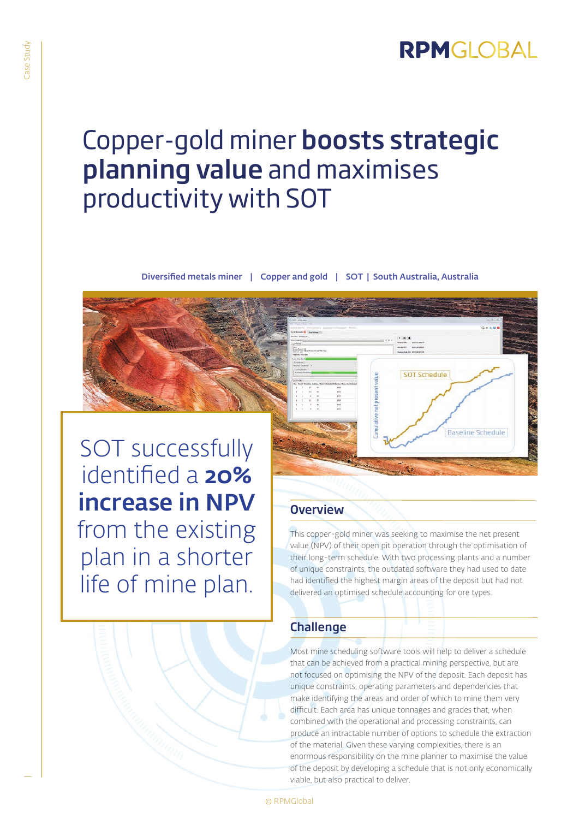# RPMGLOBAL

# Copper-gold miner boosts strategic planning value and maximises productivity with SOT

Diversified metals miner | Copper and gold | SOT | South Australia, Australia



## **Overview**

This copper-gold miner was seeking to maximise the net present value (NPV) of their open pit operation through the optimisation of their long-term schedule. With two processing plants and a number of unique constraints, the outdated software they had used to date had identified the highest margin areas of the deposit but had not delivered an optimised schedule accounting for ore types.

SOT Schedule

**Baseline Schedule** 

## Challenge

Most mine scheduling software tools will help to deliver a schedule that can be achieved from a practical mining perspective, but are not focused on optimising the NPV of the deposit. Each deposit has unique constraints, operating parameters and dependencies that make identifying the areas and order of which to mine them very difficult. Each area has unique tonnages and grades that, when combined with the operational and processing constraints, can produce an intractable number of options to schedule the extraction of the material. Given these varying complexities, there is an enormous responsibility on the mine planner to maximise the value of the deposit by developing a schedule that is not only economically viable, but also practical to deliver.